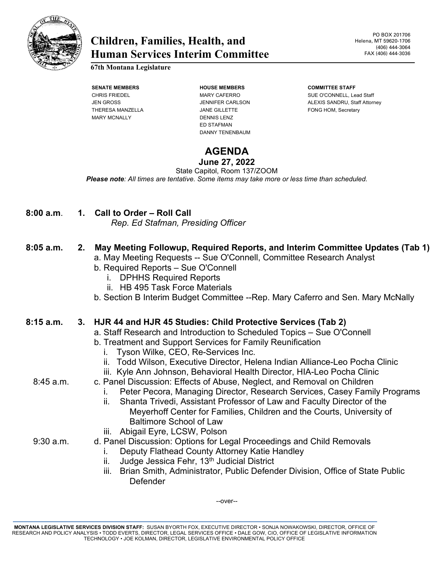

# **Children, Families, Health, and Human Services Interim Committee**

**67th Montana Legislature**

THERESA MANZELLA **Subset of the STATE STATE STATE** FONG HOM, Secretary MARY MCNALLY DENNIS LENZ

**SENATE MEMBERS HOUSE MEMBERS COMMITTEE STAFF** ED STAFMAN DANNY TENENBAUM

# CHRIS FRIEDEL MARY CAFERRO SUE O'CONNELL, Lead Staff JEN GROSS JENNIFER CARLSON ALEXIS SANDRU, Staff Attorney

# **AGENDA**

### **June 27, 2022**

State Capitol, Room 137/ZOOM *Please note: All times are tentative. Some items may take more or less time than scheduled.*

| 8:00 a.m. | 1. Call to Order – Roll Call       |
|-----------|------------------------------------|
|           | Rep. Ed Stafman, Presiding Officer |

## **8:05 a.m. 2. May Meeting Followup, Required Reports, and Interim Committee Updates (Tab 1)**

- a. May Meeting Requests -- Sue O'Connell, Committee Research Analyst
- b. Required Reports Sue O'Connell
	- i. DPHHS Required Reports
	- ii. HB 495 Task Force Materials
- b. Section B Interim Budget Committee --Rep. Mary Caferro and Sen. Mary McNally

#### **8:15 a.m. 3. HJR 44 and HJR 45 Studies: Child Protective Services (Tab 2)**

- a. Staff Research and Introduction to Scheduled Topics Sue O'Connell
- b. Treatment and Support Services for Family Reunification
	- i. Tyson Wilke, CEO, Re-Services Inc.
	- ii. Todd Wilson, Executive Director, Helena Indian Alliance-Leo Pocha Clinic
	- iii. Kyle Ann Johnson, Behavioral Health Director, HIA-Leo Pocha Clinic
- 8:45 a.m. c. Panel Discussion: Effects of Abuse, Neglect, and Removal on Children
	- i. Peter Pecora, Managing Director, Research Services, Casey Family Programs
	- ii. Shanta Trivedi, Assistant Professor of Law and Faculty Director of the Meyerhoff Center for Families, Children and the Courts, University of Baltimore School of Law
	- iii. Abigail Eyre, LCSW, Polson
- 9:30 a.m. d. Panel Discussion: Options for Legal Proceedings and Child Removals
	- i. Deputy Flathead County Attorney Katie Handley
	- ii. Judge Jessica Fehr,  $13<sup>th</sup>$  Judicial District
	- iii. Brian Smith, Administrator, Public Defender Division, Office of State Public Defender

--over--

**MONTANA LEGISLATIVE SERVICES DIVISION STAFF:** SUSAN BYORTH FOX, EXECUTIVE DIRECTOR • SONJA NOWAKOWSKI, DIRECTOR, OFFICE OF RESEARCH AND POLICY ANALYSIS • TODD EVERTS, DIRECTOR, LEGAL SERVICES OFFICE • DALE GOW, CIO, OFFICE OF LEGISLATIVE INFORMATION TECHNOLOGY • JOE KOLMAN, DIRECTOR, LEGISLATIVE ENVIRONMENTAL POLICY OFFICE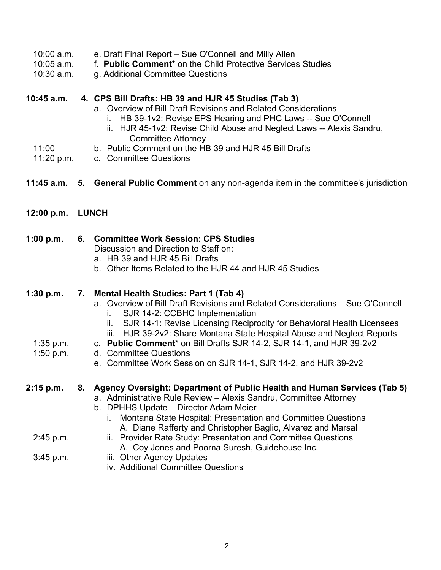- 10:00 a.m. e. Draft Final Report Sue O'Connell and Milly Allen
- 10:05 a.m. f. **Public Comment\*** on the Child Protective Services Studies
- q. Additional Committee Questions

#### **10:45 a.m. 4. CPS Bill Drafts: HB 39 and HJR 45 Studies (Tab 3)**

- a. Overview of Bill Draft Revisions and Related Considerations
	- i. HB 39-1v2: Revise EPS Hearing and PHC Laws -- Sue O'Connell
	- ii. HJR 45-1v2: Revise Child Abuse and Neglect Laws -- Alexis Sandru, Committee Attorney
- 11:00 b. Public Comment on the HB 39 and HJR 45 Bill Drafts
- 11:20 p.m. c. Committee Questions
- **11:45 a.m. 5. General Public Comment** on any non-agenda item in the committee's jurisdiction
- **12:00 p.m. LUNCH**

#### **1:00 p.m. 6. Committee Work Session: CPS Studies**

Discussion and Direction to Staff on:

- a. HB 39 and HJR 45 Bill Drafts
- b. Other Items Related to the HJR 44 and HJR 45 Studies

#### **1:30 p.m. 7. Mental Health Studies: Part 1 (Tab 4)**

- a. Overview of Bill Draft Revisions and Related Considerations Sue O'Connell i. SJR 14-2: CCBHC Implementation
	- ii. SJR 14-1: Revise Licensing Reciprocity for Behavioral Health Licensees
	- iii. HJR 39-2v2: Share Montana State Hospital Abuse and Neglect Reports
- 1:35 p.m. c. **Public Comment**\* on Bill Drafts SJR 14-2, SJR 14-1, and HJR 39-2v2
- 1:50 p.m. d. Committee Questions
	- e. Committee Work Session on SJR 14-1, SJR 14-2, and HJR 39-2v2

#### **2:15 p.m. 8. Agency Oversight: Department of Public Health and Human Services (Tab 5)**

- a. Administrative Rule Review Alexis Sandru, Committee Attorney
- b. DPHHS Update Director Adam Meier
	- i. Montana State Hospital: Presentation and Committee Questions A. Diane Rafferty and Christopher Baglio, Alvarez and Marsal
- 2:45 p.m. ii. Provider Rate Study: Presentation and Committee Questions
	- A. Coy Jones and Poorna Suresh, Guidehouse Inc.
- 3:45 p.m. iii. Other Agency Updates
	- iv. Additional Committee Questions